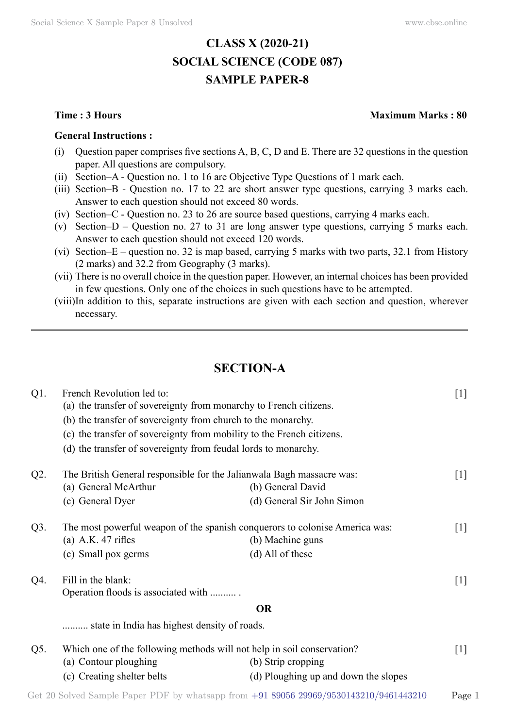# **CLASS X (2020-21) SOCIAL SCIENCE (CODE 087) SAMPLE PAPER-8**

#### **General Instructions :**

- (i) Question paper comprises five sections  $A, B, C, D$  and E. There are 32 questions in the question paper. All questions are compulsory.
- (ii) Section–A Question no. 1 to 16 are Objective Type Questions of 1 mark each.
- (iii) Section–B Question no. 17 to 22 are short answer type questions, carrying 3 marks each. Answer to each question should not exceed 80 words.
- (iv) Section–C Question no. 23 to 26 are source based questions, carrying 4 marks each.
- (v) Section–D Question no. 27 to 31 are long answer type questions, carrying 5 marks each. Answer to each question should not exceed 120 words.
- (vi) Section–E question no. 32 is map based, carrying 5 marks with two parts, 32.1 from History (2 marks) and 32.2 from Geography (3 marks).
- (vii) There is no overall choice in the question paper. However, an internal choices has been provided in few questions. Only one of the choices in such questions have to be attempted.
- (viii)In addition to this, separate instructions are given with each section and question, wherever necessary.

# **Section-A**

| $Q1$ . | French Revolution led to:                                                   |                                      | $[1]$             |
|--------|-----------------------------------------------------------------------------|--------------------------------------|-------------------|
|        | (a) the transfer of sovereignty from monarchy to French citizens.           |                                      |                   |
|        | (b) the transfer of sovereignty from church to the monarchy.                |                                      |                   |
|        | (c) the transfer of sovereignty from mobility to the French citizens.       |                                      |                   |
|        | (d) the transfer of sovereignty from feudal lords to monarchy.              |                                      |                   |
| $Q2$ . | The British General responsible for the Jalianwala Bagh massacre was:       |                                      | $[1]$             |
|        | (a) General McArthur                                                        | (b) General David                    |                   |
|        | (c) General Dyer                                                            | (d) General Sir John Simon           |                   |
| Q3.    | The most powerful weapon of the spanish conquerors to colonise America was: |                                      | $\lceil 1 \rceil$ |
|        | (a) A.K. $47$ rifles                                                        | (b) Machine guns                     |                   |
|        | (c) Small pox germs                                                         | $(d)$ All of these                   |                   |
| Q4.    | Fill in the blank:                                                          |                                      | $[1]$             |
|        | Operation floods is associated with                                         |                                      |                   |
|        |                                                                             | <b>OR</b>                            |                   |
|        | state in India has highest density of roads.                                |                                      |                   |
| Q5.    | Which one of the following methods will not help in soil conservation?      |                                      | $\lceil 1 \rceil$ |
|        | (a) Contour ploughing                                                       | (b) Strip cropping                   |                   |
|        | (c) Creating shelter belts                                                  | (d) Ploughing up and down the slopes |                   |
|        |                                                                             |                                      |                   |

#### **Time : 3 Hours Maximum Marks : 80**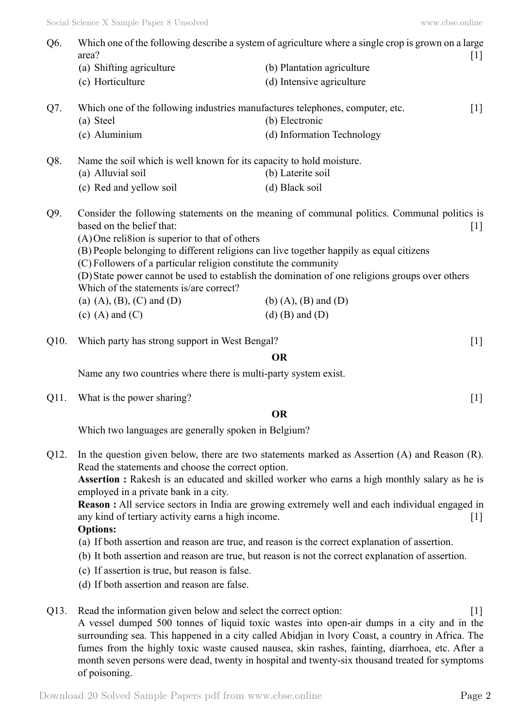| Q6.  | area?                                                                                                                                                                                                                                                                                                                                                 | Which one of the following describe a system of agriculture where a single crop is grown on a large<br>$[1]$                                                                                                                                                   |  |
|------|-------------------------------------------------------------------------------------------------------------------------------------------------------------------------------------------------------------------------------------------------------------------------------------------------------------------------------------------------------|----------------------------------------------------------------------------------------------------------------------------------------------------------------------------------------------------------------------------------------------------------------|--|
|      | (a) Shifting agriculture                                                                                                                                                                                                                                                                                                                              | (b) Plantation agriculture                                                                                                                                                                                                                                     |  |
|      | (c) Horticulture                                                                                                                                                                                                                                                                                                                                      | (d) Intensive agriculture                                                                                                                                                                                                                                      |  |
| Q7.  | Which one of the following industries manufactures telephones, computer, etc.<br>(a) Steel                                                                                                                                                                                                                                                            | $[1]$<br>(b) Electronic                                                                                                                                                                                                                                        |  |
|      | (c) Aluminium                                                                                                                                                                                                                                                                                                                                         | (d) Information Technology                                                                                                                                                                                                                                     |  |
| Q8.  | Name the soil which is well known for its capacity to hold moisture.                                                                                                                                                                                                                                                                                  |                                                                                                                                                                                                                                                                |  |
|      | (a) Alluvial soil                                                                                                                                                                                                                                                                                                                                     | (b) Laterite soil                                                                                                                                                                                                                                              |  |
|      | (c) Red and yellow soil                                                                                                                                                                                                                                                                                                                               | (d) Black soil                                                                                                                                                                                                                                                 |  |
| Q9.  | based on the belief that:<br>$(A)$ One relission is superior to that of others<br>(B) People belonging to different religions can live together happily as equal citizens<br>(C) Followers of a particular religion constitute the community<br>Which of the statements is/are correct?<br>(a) $(A)$ , $(B)$ , $(C)$ and $(D)$<br>$(c)$ (A) and $(C)$ | Consider the following statements on the meaning of communal politics. Communal politics is<br>$[1]$<br>(D) State power cannot be used to establish the domination of one religions groups over others<br>$(b)$ $(A)$ , $(B)$ and $(D)$<br>$(d)$ (B) and $(D)$ |  |
| Q10. | Which party has strong support in West Bengal?                                                                                                                                                                                                                                                                                                        | $\lceil 1 \rceil$                                                                                                                                                                                                                                              |  |
|      |                                                                                                                                                                                                                                                                                                                                                       | <b>OR</b>                                                                                                                                                                                                                                                      |  |
|      | Name any two countries where there is multi-party system exist.                                                                                                                                                                                                                                                                                       |                                                                                                                                                                                                                                                                |  |
| Q11. | What is the power sharing?                                                                                                                                                                                                                                                                                                                            | $\lceil 1 \rceil$                                                                                                                                                                                                                                              |  |
|      | <b>OR</b>                                                                                                                                                                                                                                                                                                                                             |                                                                                                                                                                                                                                                                |  |
|      | Which two languages are generally spoken in Belgium?                                                                                                                                                                                                                                                                                                  |                                                                                                                                                                                                                                                                |  |

Q12. In the question given below, there are two statements marked as Assertion (A) and Reason (R). Read the statements and choose the correct option. **Assertion :** Rakesh is an educated and skilled worker who earns a high monthly salary as he is

employed in a private bank in a city. **Reason :** All service sectors in India are growing extremely well and each individual engaged in

any kind of tertiary activity earns a high income.

## **Options:**

- (a) If both assertion and reason are true, and reason is the correct explanation of assertion.
- (b) It both assertion and reason are true, but reason is not the correct explanation of assertion.
- (c) If assertion is true, but reason is false.
- (d) If both assertion and reason are false.
- Q13. Read the information given below and select the correct option: [1]

A vessel dumped 500 tonnes of liquid toxic wastes into open-air dumps in a city and in the surrounding sea. This happened in a city called Abidjan in lvory Coast, a country in Africa. The fumes from the highly toxic waste caused nausea, skin rashes, fainting, diarrhoea, etc. After a month seven persons were dead, twenty in hospital and twenty-six thousand treated for symptoms of poisoning.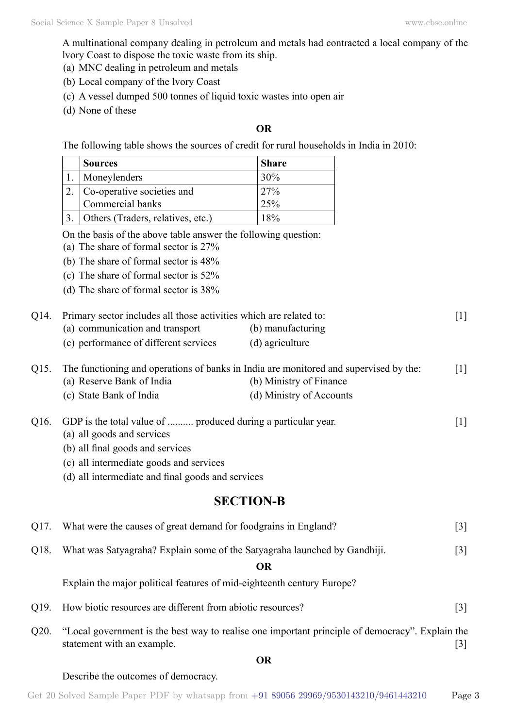A multinational company dealing in petroleum and metals had contracted a local company of the lvory Coast to dispose the toxic waste from its ship.

- (a) MNC dealing in petroleum and metals
- (b) Local company of the lvory Coast
- (c) A vessel dumped 500 tonnes of liquid toxic wastes into open air
- (d) None of these

## **O**

The following table shows the sources of credit for rural households in India in 2010:

| <b>Sources</b>                    | <b>Share</b>    |
|-----------------------------------|-----------------|
| Moneylenders                      | 30%             |
| Co-operative societies and        | 27 <sup>%</sup> |
| Commercial banks                  | 25%             |
| Others (Traders, relatives, etc.) | 18%             |

On the basis of the above table answer the following question:

- (a) The share of formal sector is  $27%$
- (b) The share of formal sector is  $48\%$
- (c) The share of formal sector is  $52\%$
- (d) The share of formal sector is  $38\%$

| Q14. Primary sector includes all those activities which are related to: |                   | $\lceil 1 \rceil$ |
|-------------------------------------------------------------------------|-------------------|-------------------|
| (a) communication and transport                                         | (b) manufacturing |                   |
| (c) performance of different services                                   | (d) agriculture   |                   |

Q15. The functioning and operations of banks in India are monitored and supervised by the: [1] (a) Reserve Bank of India (b) Ministry of Finance (c) State Bank of India (d) Ministry of Accounts

| Q16. GDP is the total value of  produced during a particular year. |  |
|--------------------------------------------------------------------|--|
| (a) all goods and sorriggs                                         |  |

- (a) all goods and services
- (b) all final goods and services
- (c) all intermediate goods and services
- (d) all intermediate and final goods and services

## **Section-B**

|                   | Q17. What were the causes of great demand for foodgrains in England?                           | 31  |
|-------------------|------------------------------------------------------------------------------------------------|-----|
| O <sub>18</sub> . | What was Satyagraha? Explain some of the Satyagraha launched by Gandhiji.                      | 3   |
|                   | OR                                                                                             |     |
|                   | Explain the major political features of mid-eighteenth century Europe?                         |     |
| O <sub>19</sub>   | How biotic resources are different from abiotic resources?                                     | [3] |
| . 020             | "Local government is the best way to realise one important principle of democracy" Explain the |     |

the best way to realise one important principle of democracy. statement with an example. [3]

 **O**

Describe the outcomes of democracy.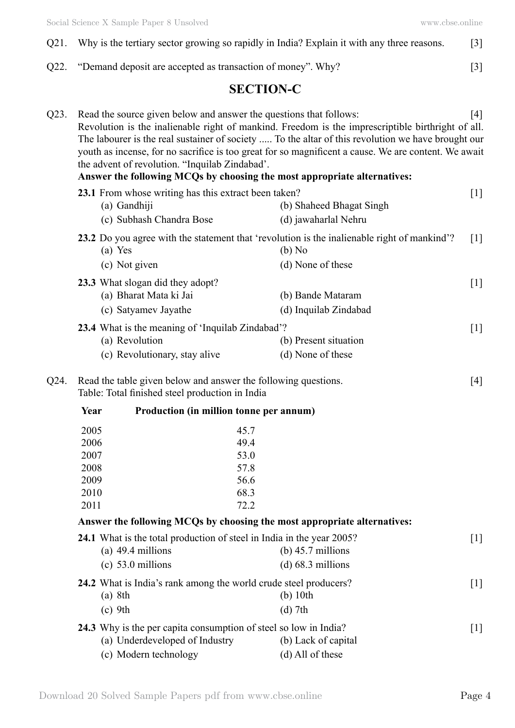- Q21. Why is the tertiary sector growing so rapidly in India? Explain it with any three reasons. [3]
- Q22. "Demand deposit are accepted as transaction of money". Why? [3]

# **Section-C**

| Q23. |                                                                                                                            | Read the source given below and answer the questions that follows:<br>the advent of revolution. "Inquilab Zindabad'. | Revolution is the inalienable right of mankind. Freedom is the imprescriptible birthright of all.<br>The labourer is the real sustainer of society  To the altar of this revolution we have brought our<br>youth as incense, for no sacrifice is too great for so magnificent a cause. We are content. We await<br>Answer the following MCQs by choosing the most appropriate alternatives: | $[4]$ |  |
|------|----------------------------------------------------------------------------------------------------------------------------|----------------------------------------------------------------------------------------------------------------------|---------------------------------------------------------------------------------------------------------------------------------------------------------------------------------------------------------------------------------------------------------------------------------------------------------------------------------------------------------------------------------------------|-------|--|
|      | (a) Gandhiji<br>(c) Subhash Chandra Bose                                                                                   | 23.1 From whose writing has this extract been taken?                                                                 | (b) Shaheed Bhagat Singh<br>(d) jawaharlal Nehru                                                                                                                                                                                                                                                                                                                                            | $[1]$ |  |
|      | (a) Yes<br>(c) Not given                                                                                                   |                                                                                                                      | 23.2 Do you agree with the statement that 'revolution is the inalienable right of mankind'?<br>(b) No<br>(d) None of these                                                                                                                                                                                                                                                                  | $[1]$ |  |
|      | 23.3 What slogan did they adopt?<br>(a) Bharat Mata ki Jai<br>(c) Satyamev Jayathe                                         |                                                                                                                      | (b) Bande Mataram<br>(d) Inquilab Zindabad                                                                                                                                                                                                                                                                                                                                                  | $[1]$ |  |
|      | (a) Revolution<br>(c) Revolutionary, stay alive                                                                            | 23.4 What is the meaning of 'Inquilab Zindabad'?                                                                     | (b) Present situation<br>(d) None of these                                                                                                                                                                                                                                                                                                                                                  | $[1]$ |  |
| Q24. | Read the table given below and answer the following questions.<br>$[4]$<br>Table: Total finished steel production in India |                                                                                                                      |                                                                                                                                                                                                                                                                                                                                                                                             |       |  |
|      | Year                                                                                                                       | Production (in million tonne per annum)                                                                              |                                                                                                                                                                                                                                                                                                                                                                                             |       |  |
|      | 2005<br>2006<br>2007<br>2008<br>2009<br>2010<br>2011                                                                       | 45.7<br>49.4<br>53.0<br>57.8<br>56.6<br>68.3<br>72.2                                                                 |                                                                                                                                                                                                                                                                                                                                                                                             |       |  |
|      | Answer the following MCQs by choosing the most appropriate alternatives:                                                   |                                                                                                                      |                                                                                                                                                                                                                                                                                                                                                                                             |       |  |
|      | (a) $49.4$ millions<br>$(c)$ 53.0 millions                                                                                 | 24.1 What is the total production of steel in India in the year 2005?                                                | (b) $45.7$ millions<br>$(d)$ 68.3 millions                                                                                                                                                                                                                                                                                                                                                  | $[1]$ |  |
|      | (a) 8th<br>$(c)$ 9th                                                                                                       | 24.2 What is India's rank among the world crude steel producers?                                                     | $(b)$ 10th<br>$(d)$ 7th                                                                                                                                                                                                                                                                                                                                                                     | $[1]$ |  |
|      | (a) Underdeveloped of Industry<br>(c) Modern technology                                                                    | 24.3 Why is the per capita consumption of steel so low in India?                                                     | (b) Lack of capital<br>(d) All of these                                                                                                                                                                                                                                                                                                                                                     | $[1]$ |  |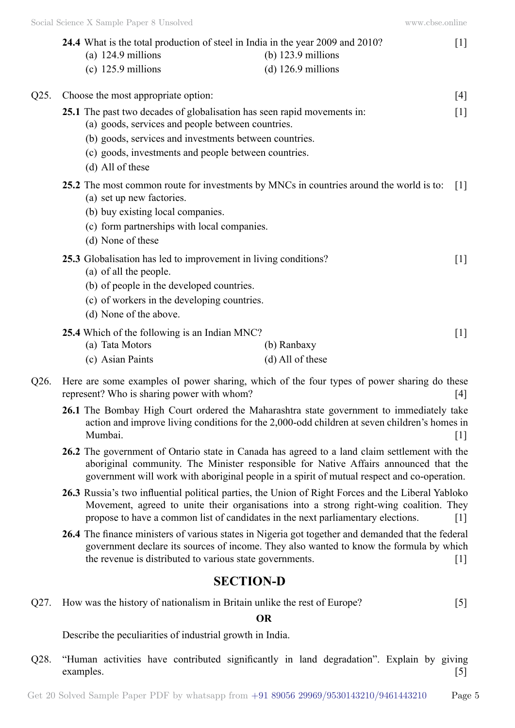|      |                                                                                           | 24.4 What is the total production of steel in India in the year 2009 and 2010?          | $[1]$             |
|------|-------------------------------------------------------------------------------------------|-----------------------------------------------------------------------------------------|-------------------|
|      | (a) $124.9$ millions                                                                      | (b) $123.9$ millions                                                                    |                   |
|      | $(c)$ 125.9 millions                                                                      | $(d)$ 126.9 millions                                                                    |                   |
| Q25. | Choose the most appropriate option:                                                       |                                                                                         | $[4]$             |
|      | (a) goods, services and people between countries.                                         | 25.1 The past two decades of globalisation has seen rapid movements in:                 | $[1]$             |
|      | (b) goods, services and investments between countries.                                    |                                                                                         |                   |
|      | (c) goods, investments and people between countries.                                      |                                                                                         |                   |
|      | (d) All of these                                                                          |                                                                                         |                   |
|      | (a) set up new factories.                                                                 | 25.2 The most common route for investments by MNCs in countries around the world is to: | $\lceil 1 \rceil$ |
|      | (b) buy existing local companies.                                                         |                                                                                         |                   |
|      | (c) form partnerships with local companies.                                               |                                                                                         |                   |
|      | (d) None of these                                                                         |                                                                                         |                   |
|      | 25.3 Globalisation has led to improvement in living conditions?<br>(a) of all the people. |                                                                                         | $[1]$             |
|      | (b) of people in the developed countries.                                                 |                                                                                         |                   |
|      | (c) of workers in the developing countries.                                               |                                                                                         |                   |
|      | (d) None of the above.                                                                    |                                                                                         |                   |
|      | 25.4 Which of the following is an Indian MNC?                                             |                                                                                         | $[1]$             |

- (a) Tata Motors (b) Ranbaxy (c) Asian Paints (d) All of these
- Q26. Here are some examples oI power sharing, which of the four types of power sharing do these represent? Who is sharing power with whom?
	- **26.1** The Bombay High Court ordered the Maharashtra state government to immediately take action and improve living conditions for the 2,000-odd children at seven children's homes in Mumbai. [1]
	- **26.2** The government of Ontario state in Canada has agreed to a land claim settlement with the aboriginal community. The Minister responsible for Native Affairs announced that the government will work with aboriginal people in a spirit of mutual respect and co-operation.
	- **26.3** Russia's two influential political parties, the Union of Right Forces and the Liberal Yabloko Movement, agreed to unite their organisations into a strong right-wing coalition. They propose to have a common list of candidates in the next parliamentary elections. [1]
	- **26.4** The finance ministers of various states in Nigeria got together and demanded that the federal government declare its sources of income. They also wanted to know the formula by which the revenue is distributed to various state governments. [1]

# **Section-D**

Q27. How was the history of nationalism in Britain unlike the rest of Europe? [5]

## **O**

Describe the peculiarities of industrial growth in India.

Q28. "Human activities have contributed significantly in land degradation". Explain by giving examples. [5]